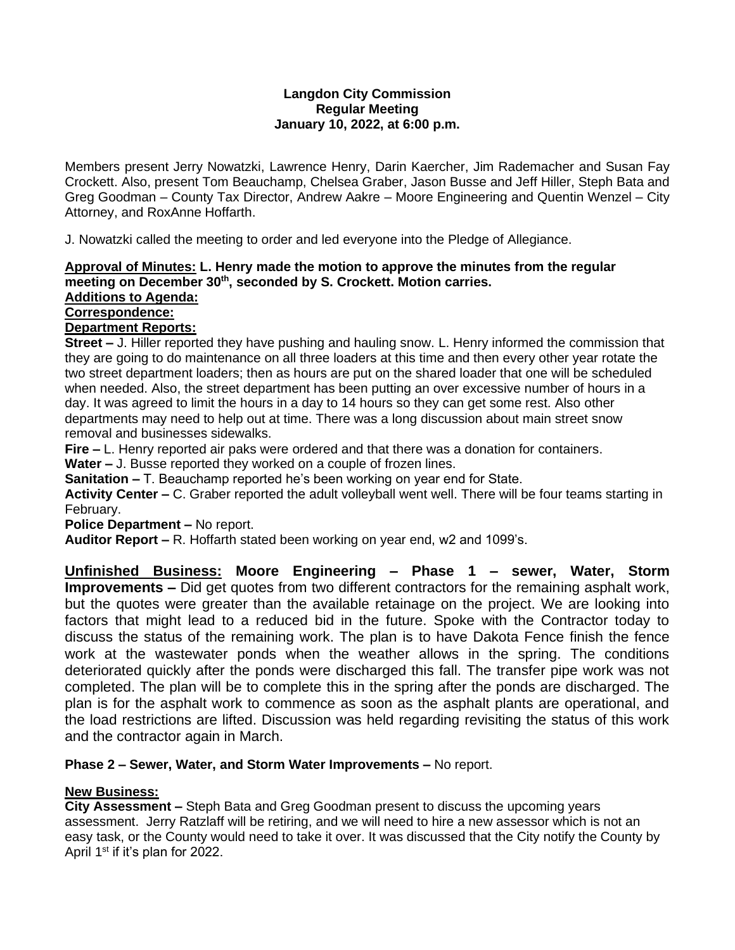#### **Langdon City Commission Regular Meeting January 10, 2022, at 6:00 p.m.**

Members present Jerry Nowatzki, Lawrence Henry, Darin Kaercher, Jim Rademacher and Susan Fay Crockett. Also, present Tom Beauchamp, Chelsea Graber, Jason Busse and Jeff Hiller, Steph Bata and Greg Goodman – County Tax Director, Andrew Aakre – Moore Engineering and Quentin Wenzel – City Attorney, and RoxAnne Hoffarth.

J. Nowatzki called the meeting to order and led everyone into the Pledge of Allegiance.

## **Approval of Minutes: L. Henry made the motion to approve the minutes from the regular meeting on December 30th , seconded by S. Crockett. Motion carries.**

## **Additions to Agenda: Correspondence:**

**Department Reports:**

**Street –** J. Hiller reported they have pushing and hauling snow. L. Henry informed the commission that they are going to do maintenance on all three loaders at this time and then every other year rotate the two street department loaders; then as hours are put on the shared loader that one will be scheduled when needed. Also, the street department has been putting an over excessive number of hours in a day. It was agreed to limit the hours in a day to 14 hours so they can get some rest. Also other departments may need to help out at time. There was a long discussion about main street snow removal and businesses sidewalks.

**Fire –** L. Henry reported air paks were ordered and that there was a donation for containers.

**Water –** J. Busse reported they worked on a couple of frozen lines.

**Sanitation –** T. Beauchamp reported he's been working on year end for State.

**Activity Center –** C. Graber reported the adult volleyball went well. There will be four teams starting in February.

**Police Department –** No report.

**Auditor Report –** R. Hoffarth stated been working on year end, w2 and 1099's.

**Unfinished Business: Moore Engineering – Phase 1 – sewer, Water, Storm Improvements –** Did get quotes from two different contractors for the remaining asphalt work, but the quotes were greater than the available retainage on the project. We are looking into factors that might lead to a reduced bid in the future. Spoke with the Contractor today to discuss the status of the remaining work. The plan is to have Dakota Fence finish the fence work at the wastewater ponds when the weather allows in the spring. The conditions deteriorated quickly after the ponds were discharged this fall. The transfer pipe work was not completed. The plan will be to complete this in the spring after the ponds are discharged. The plan is for the asphalt work to commence as soon as the asphalt plants are operational, and the load restrictions are lifted. Discussion was held regarding revisiting the status of this work and the contractor again in March.

### **Phase 2 – Sewer, Water, and Storm Water Improvements –** No report.

# **New Business:**

**City Assessment –** Steph Bata and Greg Goodman present to discuss the upcoming years assessment. Jerry Ratzlaff will be retiring, and we will need to hire a new assessor which is not an easy task, or the County would need to take it over. It was discussed that the City notify the County by April 1<sup>st</sup> if it's plan for 2022.